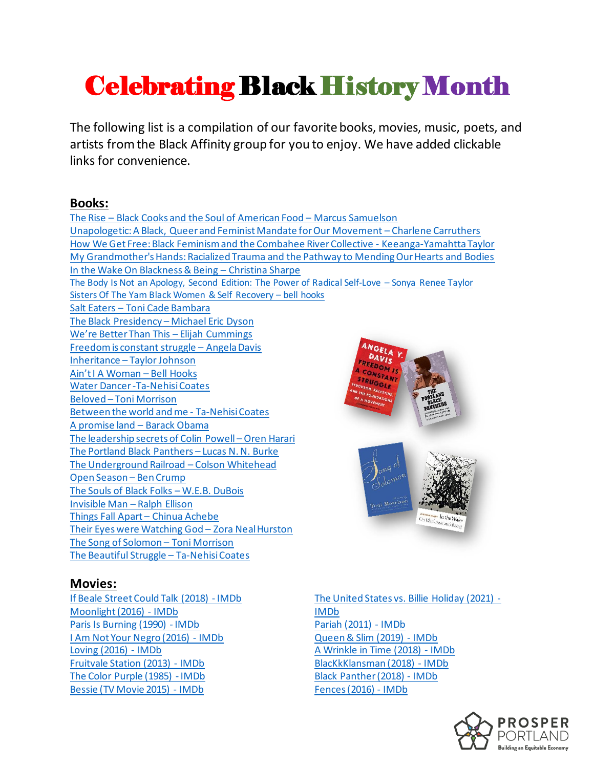# Celebrating Black History Month

The following list is a compilation of our favorite books, movies, music, poets, and artists from the Black Affinity group for you to enjoy. We have added clickable links for convenience.

### **Books:**

The Rise – [Black Cooks and the Soul of American Food](https://thirdeyebag.com/products/the-rise-black-cooks-and-the-soul-of-american-food-a-cookbook?_pos=1&_sid=61796529a&_ss=r) – Marcus Samuelson [Unapologetic: A Black, Queer and Feminist Mandate for Our Movement](https://www.charlenecarruthers.com/unapologetic) – Charlene Carruthers [How We Get Free: Black Feminism and the Combahee River Collective -](https://thirdeyebag.com/products/how-we-get-free-black-feminism-and-the-combahee-river-collective-1?_pos=1&_sid=6ee604a0d&_ss=r) Keeanga-Yamahtta Taylor [My Grandmother's Hands: Racialized Trauma and the Pathway to Mending Our Hearts and Bodies](https://thirdeyebag.com/products/my-grandmothers-hands-racialized-trauma-and-the-pathway-to-mending-our-hearts-and-bodies-1?_pos=1&_sid=1fb2601ba&_ss=r) [In the Wake On Blackness & Being](https://www.powells.com/book/in-the-wake-on-blackness-being-9780822362944) – Christina Sharpe [The Body Is Not an Apology, Second Edition: The](https://thirdeyebag.com/products/the-body-is-not-an-apology-second-edition-the-power-of-radical-self-love-1?_pos=7&_sid=288cda111&_ss=rhttps://thirdeyebag.com/products/the-body-is-not-an-apology-second-edition-the-power-of-radical-self-love-1?_pos=7&_sid=288cda111&_ss=rhttps://thirdeyebag.com/products/the-body-is-not-an-apology-second-edition-the-power-of-radical-self-love-1?_pos=7&_sid=288cda111&_ss=rhttps://thirdeyebag.com/products/the-body-is-not-an-apology-second-edition-the-power-of-radical-self-love-1?_pos=7&_sid=288cda111&_ss=rhttps://thirdeyebag.com/products/the-body-is-not-an-apology-second-edition-the-power-of-radical-self-love-1?_pos=7&_sid=288cda111&_ss=rhttps://thirdeyebag.com/products/the-body-is-not-an-apology-second-edition-the-power-of-radical-self-love-1?_pos=7&_sid=288cda111&_ss=rhttps://thirdeyebag.com/products/the-body-is-not-an-apology-second-edition-the-power-of-radical-self-love-1?_pos=7&_sid=288cda111&_ss=rhttps://thirdeyebag.com/products/the-body-is-not-an-apology-second-edition-the-power-of-radical-self-love-1?_pos=7&_sid=288cda111&_ss=rhttps://thirdeyebag.com/products/the-body-is-not-an-apology-second-edition-the-power-of-radical-self-love-1?_pos=7&_sid=288cda111&_ss=r) Power of Radical Self-Love – Sonya Renee Taylor [Sisters Of The Yam Black Women & Self Recovery](https://www.powells.com/book/sisters-of-the-yam-black-women-self-recovery-9781138821682) – bell hooks Salt Eaters – [Toni Cade Bambara](https://www.powells.com/book/salt-eaters-9780679740766) [The Black Presidency](https://www.powells.com/book/black-presidency-barack-obama-the-politics-of-race-in-america-9780544811805/62-0) – Michael Eric Dyson [We're Better Than This –](https://www.powells.com/book/were-better-than-this-my-fight-for-the-future-of-our-democracy-9780062992260) Elijah Cummings [Freedom is constant struggle](https://thirdeyebag.com/products/freedom-is-a-constant-struggle-ferguson-palestine-and-the-foundations-of-a-movement?_pos=1&_sid=6af28ab0a&_ss=r) – Angela Davis Inheritance – [Taylor Johnson](https://www.powells.com/book/inheritance-9781948579131) [Ain't I A Woman –](https://www.goodreads.com/book/show/250792.Ain_t_I_a_Woman) Bell Hooks [Water Dancer -Ta-Nehisi Coates](https://ta-nehisicoates.com/books/the-water-dancer/) Beloved – [Toni Morrison](https://thirdeyebag.com/products/beloved?_pos=1&_sid=c3dafa98c&_ss=r) [Between the world and me -](https://thirdeyebag.com/products/between-the-world-and-me-hardcover-1?_pos=4&_sid=a5696521d&_ss=r) Ta-Nehisi Coates [A promise land](https://thirdeyebag.com/products/copy-of-a-promised-land-hardcover?_pos=1&_sid=5bb950db7&_ss=r) – Barack Obama [The leadership secrets of Colin Powell](https://www.powells.com/book/leadership-secrets-of-colin-powell-9780071418614) – Oren Harari [The Portland Black Panthers](https://www.powells.com/book/portland-black-panthers-empowering-albina-remaking-a-city-9780295742717) – Lucas N. N. Burke [The Underground Railroad](https://thirdeyebag.com/products/the-underground-railroad-a-novel?_pos=1&_sid=9d3765096&_ss=r) – Colson Whitehead [Open Season](https://thirdeyebag.com/products/open-season-legalized-genocide-of-colored-people-hardcover?_pos=1&_sid=923f9f029&_ss=r) – Ben Crump [The Souls of Black Folks](https://thirdeyebag.com/products/three-african-american-classics-up-from-slavery-the-souls-of-black-folk-and-narrative-of-the-life-of-frederick-douglass?_pos=2&_sid=16cd16bef&_ss=r) – W.E.B. DuBois [Invisible Man](https://thirdeyebag.com/products/invisible-man-pos?_pos=1&_sid=f7df40b1d&_ss=r) – Ralph Ellison [Things Fall Apart](https://thirdeyebag.com/products/things-fall-apart?_pos=1&_sid=1c7c03d21&_ss=r) – Chinua Achebe [Their Eyes were Watching God](https://thirdeyebag.com/products/their-eyes-were-watching-god-modern-classics?_pos=1&_sid=2f204a1da&_ss=r) – Zora Neal Hurston [The Song of Solomon](https://thirdeyebag.com/products/song-of-solomon-by-toni-morrison?_pos=1&_sid=2dfbb2c63&_ss=r) – Toni Morrison [The Beautiful Struggle](https://thirdeyebag.com/products/the-beautiful-struggle-adapted-for-young-adults?_pos=1&_sid=1ca5d43ee&_ss=r) – Ta-Nehisi Coates

### **Movies:**

[If Beale Street Could Talk \(2018\) -](https://www.imdb.com/title/tt7125860/?ref_=nv_sr_srsg_0) IMDb [Moonlight \(2016\) -](https://www.imdb.com/title/tt4975722/?ref_=fn_al_tt_1) IMDb [Paris Is Burning \(1990\) -](https://www.imdb.com/title/tt0100332/?ref_=fn_al_tt_1) IMDb [I Am Not Your Negro \(2016\) -](https://www.imdb.com/title/tt5804038/?ref_=nv_sr_srsg_0) IMDb [Loving \(2016\) -](https://www.imdb.com/title/tt4669986/?ref_=nv_sr_srsg_4) IMDb [Fruitvale Station \(2013\) -](https://www.imdb.com/title/tt2334649/?ref_=nv_sr_srsg_0) IMDb [The Color Purple \(1985\) -](https://www.imdb.com/title/tt0088939/?ref_=nv_sr_srsg_0) IMDb [Bessie \(TV Movie 2015\) -](https://www.imdb.com/title/tt3704352/?ref_=nv_sr_srsg_6) IMDb

[The United States vs. Billie Holiday \(2021\) -](https://www.imdb.com/title/tt8521718/?ref_=nv_sr_srsg_6) [IMDb](https://www.imdb.com/title/tt8521718/?ref_=nv_sr_srsg_6) [Pariah \(2011\) -](https://www.imdb.com/title/tt1233334/?ref_=nv_sr_srsg_0) IMDb [Queen & Slim \(2019\) -](https://www.imdb.com/title/tt8722346/?ref_=nv_sr_srsg_0) IMDb [A Wrinkle in Time \(2018\) -](https://www.imdb.com/title/tt1620680/?ref_=nv_sr_srsg_0) IMDb [BlacKkKlansman \(2018\) -](https://www.imdb.com/title/tt7349662/?ref_=nv_sr_srsg_0) IMDb [Black Panther \(2018\) -](https://www.imdb.com/title/tt1825683/) IMDb [Fences \(2016\) -](https://www.imdb.com/title/tt2671706/?ref_=fn_al_tt_1) IMDb

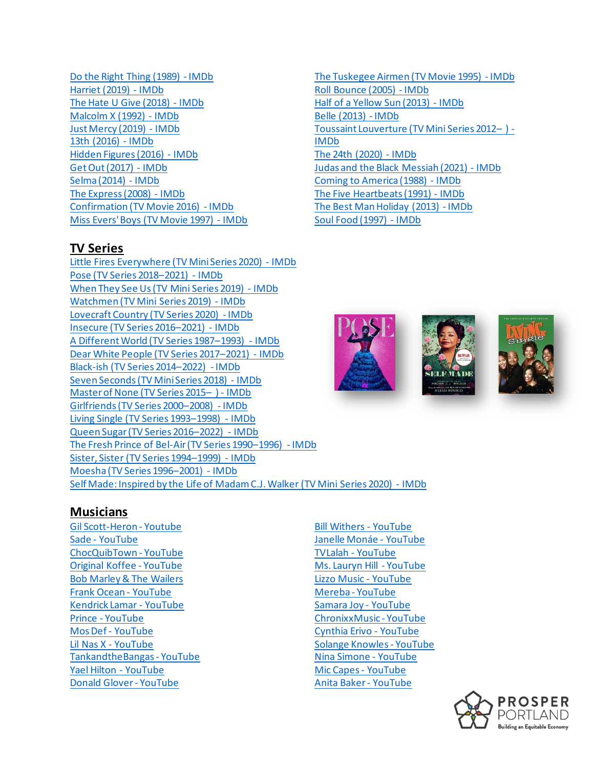[Do the Right Thing \(1989\) -](https://www.imdb.com/title/tt0097216/?ref_=fn_al_tt_1) IMDb [Harriet \(2019\) -](https://www.imdb.com/title/tt4648786/?ref_=fn_al_tt_1) IMDb [The Hate U Give \(2018\) -](https://www.imdb.com/title/tt5580266/?ref_=fn_al_tt_1) IMDb [Malcolm X \(1992\) -](https://www.imdb.com/title/tt0104797/?ref_=fn_al_tt_1) IMDb [Just Mercy \(2019\) -](https://www.imdb.com/title/tt4916630/?ref_=fn_al_tt_1) IMDb [13th \(2016\) -](https://www.imdb.com/title/tt5895028/?ref_=fn_al_tt_1) IMDb [Hidden Figures \(2016\) -](https://www.imdb.com/title/tt4846340/?ref_=nv_sr_srsg_0) IMDb [Get Out \(2017\) -](https://www.imdb.com/title/tt5052448/?ref_=nv_sr_srsg_0) IMDb [Selma \(2014\) -](https://www.imdb.com/title/tt1020072/?ref_=nv_sr_srsg_3) IMDb [The Express \(2008\) -](https://www.imdb.com/title/tt0469903/?ref_=nv_sr_srsg_0) IMDb [Confirmation \(TV Movie 2016\) -](https://www.imdb.com/title/tt4608402/?ref_=nv_sr_srsg_0) IMDb [Miss Evers' Boys \(TV Movie 1997\) -](https://www.imdb.com/title/tt0119679/?ref_=nv_sr_srsg_0) IMDb

#### **TV Series**

[Little Fires Everywhere \(TV Mini Series 2020\) -](https://www.imdb.com/title/tt8089592/?ref_=nv_sr_srsg_0) IMDb [Pose \(TV Series 2018](https://www.imdb.com/title/tt7562112/?ref_=nv_sr_srsg_0)–2021) - IMDb [When They See Us \(TV Mini Series 2019\) -](https://www.imdb.com/title/tt7137906/?ref_=fn_al_tt_1) IMDb [Watchmen \(TV Mini Series 2019\) -](https://www.imdb.com/title/tt7049682/?ref_=nv_sr_srsg_3) IMDb [Lovecraft Country \(TV Series 2020\) -](https://www.imdb.com/title/tt6905686/?ref_=nv_sr_srsg_0) IMDb [Insecure \(TV Series 2016](https://www.imdb.com/title/tt5024912/?ref_=nv_sr_srsg_0)–2021) - IMDb [A Different World \(TV Series 1987](https://www.imdb.com/title/tt0092339/?ref_=nv_sr_srsg_0)–1993) - IMDb [Dear White People \(TV Series 2017](https://www.imdb.com/title/tt5707802/?ref_=nv_sr_srsg_0)–2021) - IMDb [Black-ish \(TV Series 2014](https://www.imdb.com/title/tt3487356/?ref_=nv_sr_srsg_0)–2022) - IMDb [Seven Seconds \(TV Mini Series 2018\) -](https://www.imdb.com/title/tt6297682/?ref_=nv_sr_srsg_0) IMDb [Master of None \(TV Series 2015](https://www.imdb.com/title/tt4635276/?ref_=fn_al_tt_1)– ) - IMDb [Girlfriends \(TV Series 2000](https://www.imdb.com/title/tt0247102/?ref_=nv_sr_srsg_3)–2008) - IMDb [Living Single \(TV Series 1993](https://www.imdb.com/title/tt0106056/?ref_=nv_sr_srsg_0)–1998) - IMDb [Queen Sugar \(TV Series 2016](https://www.imdb.com/title/tt4419214/?ref_=nv_sr_srsg_0)–2022) - IMDb [The Fresh Prince of Bel-Air \(TV Series 1990](https://www.imdb.com/title/tt0098800/?ref_=ttls_li_tt)–1996) - IMDb [Sister, Sister \(TV Series 1994](https://www.imdb.com/title/tt0108927/?ref_=ttls_li_tt)–1999) - IMDb [Moesha \(TV Series 1996](https://www.imdb.com/title/tt0115275/?ref_=ttls_li_tt)–2001) - IMDb [Self Made: Inspired by the Life of Madam C.J. Walker \(TV Mini Series 2020\)](https://www.imdb.com/title/tt8771910/?ref_=nv_sr_srsg_0) - IMDb

[The Tuskegee Airmen \(TV Movie 1995\) -](https://www.imdb.com/title/tt0114745/?ref_=nv_sr_srsg_0) IMDb [Roll Bounce \(2005\) -](https://www.imdb.com/title/tt0403455/?ref_=nv_sr_srsg_0) IMDb [Half of a Yellow Sun \(2013\) -](https://www.imdb.com/title/tt2215077/?ref_=nv_sr_srsg_0) IMDb [Belle \(2013\) -](https://www.imdb.com/title/tt2404181/?ref_=nv_sr_srsg_9) IMDb [Toussaint Louverture \(TV Mini Series 2012](https://www.imdb.com/title/tt2062690/?ref_=nv_sr_srsg_0)– ) - [IMDb](https://www.imdb.com/title/tt2062690/?ref_=nv_sr_srsg_0) [The 24th \(2020\) -](https://www.imdb.com/title/tt10452854/?ref_=nv_sr_srsg_0) IMDb [Judas and the Black Messiah \(2021\) -](https://www.imdb.com/title/tt9784798/?ref_=nv_sr_srsg_0) IMDb [Coming to America \(1988\) -](https://www.imdb.com/title/tt0094898/?ref_=nv_sr_srsg_2) IMDb [The Five Heartbeats \(1991\) -](https://www.imdb.com/title/tt0101891/?ref_=nv_sr_srsg_0) IMDb [The Best Man Holiday \(2013\) -](https://www.imdb.com/title/tt2083355/?ref_=nv_sr_srsg_0) IMDb [Soul Food \(1997\) -](https://www.imdb.com/title/tt0120169/?ref_=nv_sr_srsg_0) IMDb



#### **Musicians**

[Gil Scott-Heron -](https://www.youtube.com/watch?v=UGqxU6PTRZk&list=PLldC__Pt_twr_0aX8ypLaJcB9c9oxKxEO) Youtube Sade - [YouTube](https://www.youtube.com/user/SadeSME) [ChocQuibTown -](https://www.youtube.com/c/CHOCQUIBTOWNLIVE) YouTube [Original Koffee -](https://www.youtube.com/c/OriginalKoffee) YouTube [Bob Marley & The Wailers](https://www.youtube.com/watch?v=AFWy1qyyMHE&list=PLkVSzrKdeIKUznc9C_1SCbYS-bVYtP3YF) [Frank Ocean -](https://www.youtube.com/c/blonded) YouTube [Kendrick Lamar -](https://www.youtube.com/channel/UC3lBXcrKFnFAFkfVk5WuKcQ) YouTube Prince - [YouTube](https://www.youtube.com/user/prince) [Mos Def -](https://www.youtube.com/watch?v=m5vw4ajnWGA&list=PL5jqJ2fm-QnjmcvAOEZ2HMtfzZ4Lt39yY) YouTube [Lil Nas X -](https://www.youtube.com/channel/UC_uMv3bNXwapHl8Dzf2p01Q) YouTube [TankandtheBangas -](https://www.youtube.com/c/tankandthebangas) YouTube [Yael Hilton -](https://www.youtube.com/user/yaelhilton) YouTube [Donald Glover -](https://www.youtube.com/c/childishgambino) YouTube

[Bill Withers -](https://www.youtube.com/watch?v=506PR-Zyxak) YouTube [Janelle Monáe -](https://www.youtube.com/user/janellemonae) YouTube [TVLalah -](https://www.youtube.com/c/TVLalah) YouTube [Ms. Lauryn Hill -](https://www.youtube.com/c/MsLaurynHill) YouTube [Lizzo Music -](https://www.youtube.com/c/Lizzo) YouTube [Mereba -](https://www.youtube.com/channel/UCkuxBjiQsb8WFsr_c5sucHg) YouTube [Samara Joy -](https://www.youtube.com/playlist?list=OLAK5uy_n22TOv79-mAMItMPZbkscAOd_V3g49v6A) YouTube [ChronixxMusic -](https://www.youtube.com/c/ChronixxMusic) YouTube [Cynthia Erivo -](https://www.youtube.com/channel/UC-RbmrIAM_VqmcjKGQAvQ1w) YouTube [Solange Knowles -](https://www.youtube.com/user/solangeknowlesmusic) YouTube [Nina Simone -](https://www.youtube.com/c/NinaSimoneMusic) YouTube [Mic Capes -](https://www.youtube.com/channel/UCZH7cVLPeX2GtRbg35vYSNw) YouTube [Anita Baker -](https://www.youtube.com/watch?v=LVqmPU20Z1M) YouTube